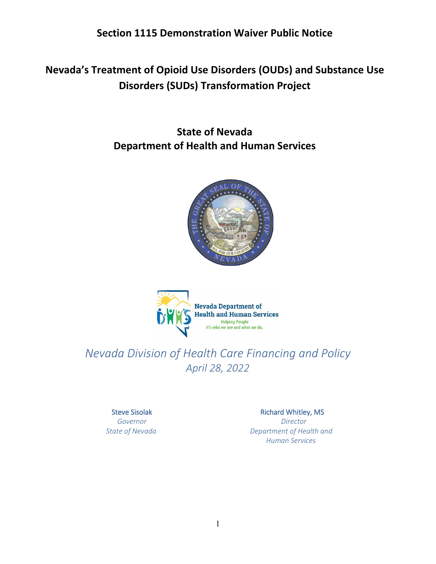**Section 1115 Demonstration Waiver Public Notice** 

**Nevada's Treatment of Opioid Use Disorders (OUDs) and Substance Use Disorders (SUDs) Transformation Project** 

> **State of Nevada Department of Health and Human Services**





# *Nevada Division of Health Care Financing and Policy April 28, 2022*

Steve Sisolak  *Governor* 

 *State of Nevada* 

#### Richard Whitley, MS

 *Director Department of Health and Human Services*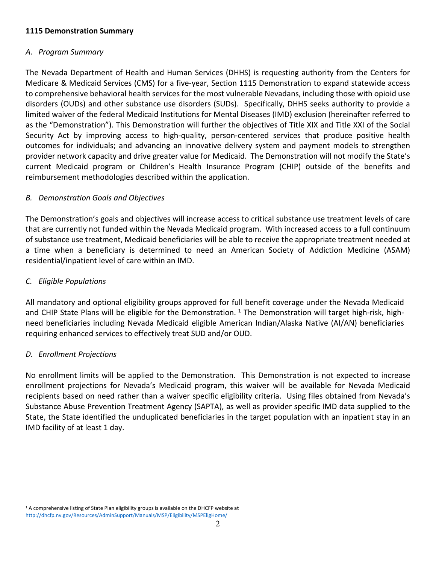#### **1115 Demonstration Summary**

#### *A. Program Summary*

 The Nevada Department of Health and Human Services (DHHS) is requesting authority from the Centers for to comprehensive behavioral health services for the most vulnerable Nevadans, including those with opioid use Security Act by improving access to high-quality, person-centered services that produce positive health provider network capacity and drive greater value for Medicaid. The Demonstration will not modify the State's current Medicaid program or Children's Health Insurance Program (CHIP) outside of the benefits and Medicare & Medicaid Services (CMS) for a five-year, Section 1115 Demonstration to expand statewide access disorders (OUDs) and other substance use disorders (SUDs). Specifically, DHHS seeks authority to provide a limited waiver of the federal Medicaid Institutions for Mental Diseases (IMD) exclusion (hereinafter referred to as the "Demonstration"). This Demonstration will further the objectives of Title XIX and Title XXI of the Social outcomes for individuals; and advancing an innovative delivery system and payment models to strengthen reimbursement methodologies described within the application.

## *B. Demonstration Goals and Objectives*

 of substance use treatment, Medicaid beneficiaries will be able to receive the appropriate treatment needed at residential/inpatient level of care within an IMD. The Demonstration's goals and objectives will increase access to critical substance use treatment levels of care that are currently not funded within the Nevada Medicaid program. With increased access to a full continuum a time when a beneficiary is determined to need an American Society of Addiction Medicine (ASAM)

## *C. Eligible Populations*

and CHIP State Plans will be eligible for the Demonstration. <sup>1</sup> The Demonstration will target high-risk, high- need beneficiaries including Nevada Medicaid eligible American Indian/Alaska Native (AI/AN) beneficiaries requiring enhanced services to effectively treat SUD and/or OUD. All mandatory and optional eligibility groups approved for full benefit coverage under the Nevada Medicaid

## *D. Enrollment Projections*

 No enrollment limits will be applied to the Demonstration. This Demonstration is not expected to increase recipients based on need rather than a waiver specific eligibility criteria. Using files obtained from Nevada's enrollment projections for Nevada's Medicaid program, this waiver will be available for Nevada Medicaid Substance Abuse Prevention Treatment Agency (SAPTA), as well as provider specific IMD data supplied to the State, the State identified the unduplicated beneficiaries in the target population with an inpatient stay in an IMD facility of at least 1 day.

<span id="page-1-0"></span> [http://dhcfp.nv.gov/Resources/AdminSupport/Manuals/MSP/Eligibility/MSPEligHom](http://dhcfp.nv.gov/Resources/AdminSupport/Manuals/MSP/Eligibility/MSPEligHome)[e/](http://dhcfp.nv.gov/Resources/AdminSupport/Manuals/MSP/Eligibility/MSPEligHome/) <sup>1</sup> A comprehensive listing of State Plan eligibility groups is available on the DHCFP website at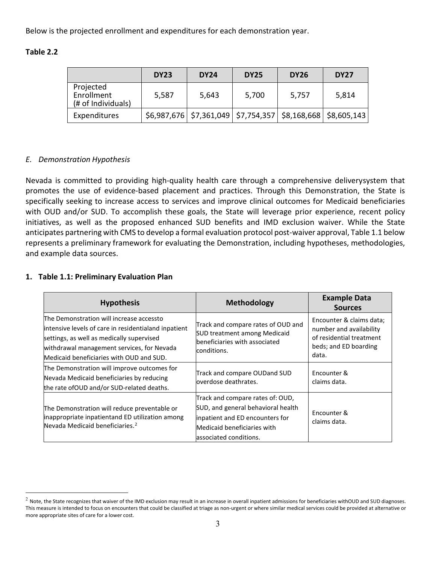Below is the projected enrollment and expenditures for each demonstration year.

| Table 2<br>L.L |  |
|----------------|--|
|----------------|--|

|                                               | <b>DY23</b> | <b>DY24</b> | <b>DY25</b>                                                                       | <b>DY26</b> | <b>DY27</b> |
|-----------------------------------------------|-------------|-------------|-----------------------------------------------------------------------------------|-------------|-------------|
| Projected<br>Enrollment<br>(# of Individuals) | 5,587       | 5,643       | 5,700                                                                             | 5,757       | 5,814       |
| Expenditures                                  |             |             | $\frac{1}{2}$ \$6,987,676   \$7,361,049   \$7,754,357   \$8,168,668   \$8,605,143 |             |             |

## *E. Demonstration Hypothesis*

 promotes the use of evidence-based placement and practices. Through this Demonstration, the State is specifically seeking to increase access to services and improve clinical outcomes for Medicaid beneficiaries anticipates partnering with CMS to develop a formal evaluation protocol post-waiver approval, Table 1.1 below Nevada is committed to providing high-quality health care through a comprehensive deliverysystem that with OUD and/or SUD. To accomplish these goals, the State will leverage prior experience, recent policy initiatives, as well as the proposed enhanced SUD benefits and IMD exclusion waiver. While the State represents a preliminary framework for evaluating the Demonstration, including hypotheses, methodologies, and example data sources.

#### **1. Table 1.1: Preliminary Evaluation Plan**

| <b>Hypothesis</b>                                                                                                                                                                                                                       | <b>Methodology</b>                                                                                                                                                 | <b>Example Data</b><br><b>Sources</b>                                                                             |
|-----------------------------------------------------------------------------------------------------------------------------------------------------------------------------------------------------------------------------------------|--------------------------------------------------------------------------------------------------------------------------------------------------------------------|-------------------------------------------------------------------------------------------------------------------|
| The Demonstration will increase accessto<br>intensive levels of care in residentialand inpatient<br>settings, as well as medically supervised<br>withdrawal management services, for Nevada<br>Medicaid beneficiaries with OUD and SUD. | Track and compare rates of OUD and<br><b>SUD treatment among Medicaid</b><br>beneficiaries with associated<br>conditions.                                          | Encounter & claims data;<br>number and availability<br>of residential treatment<br>beds; and ED boarding<br>data. |
| The Demonstration will improve outcomes for<br>Nevada Medicaid beneficiaries by reducing<br>the rate of OUD and/or SUD-related deaths.                                                                                                  | Track and compare OUDand SUD<br>overdose deathrates.                                                                                                               | <b>Fncounter &amp;</b><br>claims data.                                                                            |
| The Demonstration will reduce preventable or<br>inappropriate inpatientand ED utilization among<br>Nevada Medicaid beneficiaries. <sup>2</sup>                                                                                          | Track and compare rates of: OUD,<br>SUD, and general behavioral health<br>inpatient and ED encounters for<br>Medicaid beneficiaries with<br>associated conditions. | Encounter &<br>claims data.                                                                                       |

<span id="page-2-0"></span> $^2$  Note, the State recognizes that waiver of the IMD exclusion may result in an increase in overall inpatient admissions for beneficiaries withOUD and SUD diagnoses. This measure is intended to focus on encounters that could be classified at triage as non-urgent or where similar medical services could be provided at alternative or more appropriate sites of care for a lower cost.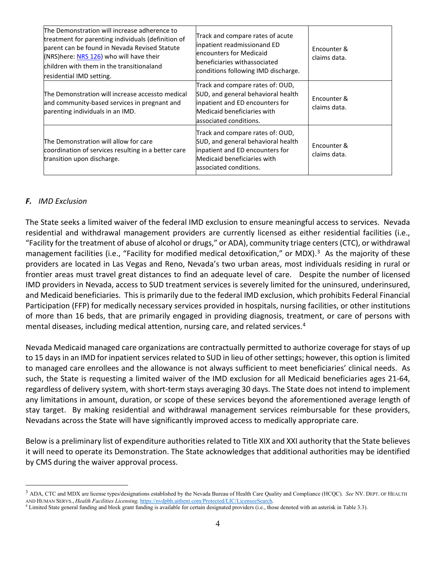| The Demonstration will increase adherence to<br>treatment for parenting individuals (definition of<br>parent can be found in Nevada Revised Statute<br>(NRS) here: NRS 126) who will have their<br>children with them in the transitionaland<br>residential IMD setting. | Track and compare rates of acute<br>inpatient readmissionand ED<br>encounters for Medicaid<br>beneficiaries withassociated<br>conditions following IMD discharge.  | Encounter &<br>claims data. |
|--------------------------------------------------------------------------------------------------------------------------------------------------------------------------------------------------------------------------------------------------------------------------|--------------------------------------------------------------------------------------------------------------------------------------------------------------------|-----------------------------|
| The Demonstration will increase accessto medical<br>and community-based services in pregnant and<br>parenting individuals in an IMD.                                                                                                                                     | Track and compare rates of: OUD,<br>SUD, and general behavioral health<br>inpatient and ED encounters for<br>Medicaid beneficiaries with<br>associated conditions. | Encounter &<br>claims data. |
| The Demonstration will allow for care<br>coordination of services resulting in a better care<br>transition upon discharge.                                                                                                                                               | Track and compare rates of: OUD,<br>SUD, and general behavioral health<br>inpatient and ED encounters for<br>Medicaid beneficiaries with<br>associated conditions. | Encounter &<br>claims data. |

#### *F. IMD Exclusion*

management facilities (i.e., "Facility for modified medical detoxification," or MDX).<sup>3</sup> As the majority of these providers are located in Las Vegas and Reno, Nevada's two urban areas, most individuals residing in rural or IMD providers in Nevada, access to SUD treatment services is severely limited for the uninsured, underinsured, and Medicaid beneficiaries. This is primarily due to the federal IMD exclusion, which prohibits Federal Financial Participation (FFP) for medically necessary services provided in hospitals, nursing facilities, or other institutions of more than 16 beds, that are primarily engaged in providing diagnosis, treatment, or care of persons with mental diseases, including medical attention, nursing care, and related services.<sup>[4](#page-3-1)</sup> The State seeks a limited waiver of the federal IMD exclusion to ensure meaningful access to services. Nevada residential and withdrawal management providers are currently licensed as either residential facilities (i.e., "Facility for the treatment of abuse of alcohol or drugs," or ADA), community triage centers (CTC), or withdrawal frontier areas must travel great distances to find an adequate level of care. Despite the number of licensed

 to managed care enrollees and the allowance is not always sufficient to meet beneficiaries' clinical needs. As such, the State is requesting a limited waiver of the IMD exclusion for all Medicaid beneficiaries ages 21-64, any limitations in amount, duration, or scope of these services beyond the aforementioned average length of stay target. By making residential and withdrawal management services reimbursable for these providers, Nevada Medicaid managed care organizations are contractually permitted to authorize coverage for stays of up to 15 days in an IMD for inpatient services related to SUD in lieu of other settings; however, this option is limited regardless of delivery system, with short-term stays averaging 30 days. The State does not intend to implement Nevadans across the State will have significantly improved access to medically appropriate care.

Below is a preliminary list of expenditure authorities related to Title XIX and XXI authority that the State believes it will need to operate its Demonstration. The State acknowledges that additional authorities may be identified by CMS during the waiver approval process.

<span id="page-3-0"></span> 3 ADA, CTC and MDX are license types/designations established by the Nevada Bureau of Health Care Quality and Compliance (HCQC). *See* NV. DEPT. OF HEALTH AND HUMAN SERVS., *Health Facilities Licensing*, https://nvdpbh.aithent.com/Protected/LIC/LicenseeSearch.

<span id="page-3-1"></span>AND HUMAN SERVS., *Health Facilities Licensing*, https://nvdpbh.aithent.com/Protected/LIC/LicenseeSearch.<br><sup>4</sup> Limited State general funding and block grant funding is available for certain designated providers (i.e., those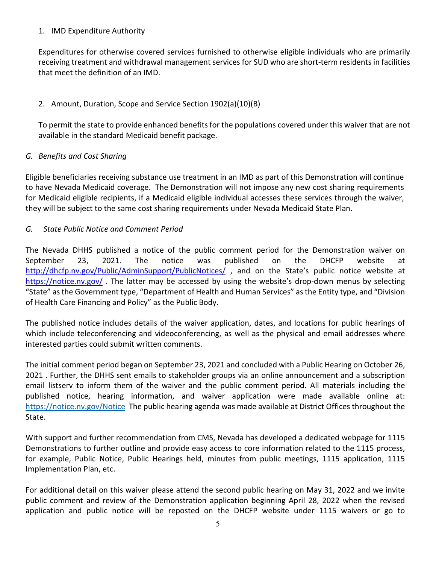#### 1. IMD Expenditure Authority

 Expenditures for otherwise covered services furnished to otherwise eligible individuals who are primarily receiving treatment and withdrawal management services for SUD who are short-term residents in facilities that meet the definition of an IMD.

# 2. Amount, Duration, Scope and Service Section 1902(a)(10)(B)

 To permit the state to provide enhanced benefits for the populations covered under this waiver that are not available in the standard Medicaid benefit package.

## *G. Benefits and Cost Sharing*

 to have Nevada Medicaid coverage. The Demonstration will not impose any new cost sharing requirements for Medicaid eligible recipients, if a Medicaid eligible individual accesses these services through the waiver, they will be subject to the same cost sharing requirements under Nevada Medicaid State Plan. Eligible beneficiaries receiving substance use treatment in an IMD as part of this Demonstration will continue

## *G. State Public Notice and Comment Period*

https://notice.nv.gov/. The latter may be accessed by using the website's drop-down menus by selecting of Health Care Financing and Policy" as the Public Body. The Nevada DHHS published a notice of the public comment period for the Demonstration waiver on September 23, 2021. The notice was published on the DHCFP website at http://dhcfp.nv.gov/Public/AdminSupport/PublicNotices/, and on the State's public notice website at "State" as the Government type, "Department of Health and Human Services" as the Entity type, and "Division

 which include teleconferencing and videoconferencing, as well as the physical and email addresses where The published notice includes details of the waiver application, dates, and locations for public hearings of interested parties could submit written comments.

 The initial comment period began on September 23, 2021 and concluded with a Public Hearing on October 26, email listserv to inform them of the waiver and the public comment period. All materials including the published notice, hearing information, and waiver application were made available online at: <https://notice.nv.gov/Notice>The public hearing agenda was made available at District Offices throughout the 2021 . Further, the DHHS sent emails to stakeholder groups via an online announcement and a subscription State.

 With support and further recommendation from CMS, Nevada has developed a dedicated webpage for 1115 Demonstrations to further outline and provide easy access to core information related to the 1115 process, for example, Public Notice, Public Hearings held, minutes from public meetings, 1115 application, 1115 Implementation Plan, etc.

 For additional detail on this waiver please attend the second public hearing on May 31, 2022 and we invite application and public notice will be reposted on the DHCFP website under 1115 waivers or go to public comment and review of the Demonstration application beginning April 28, 2022 when the revised